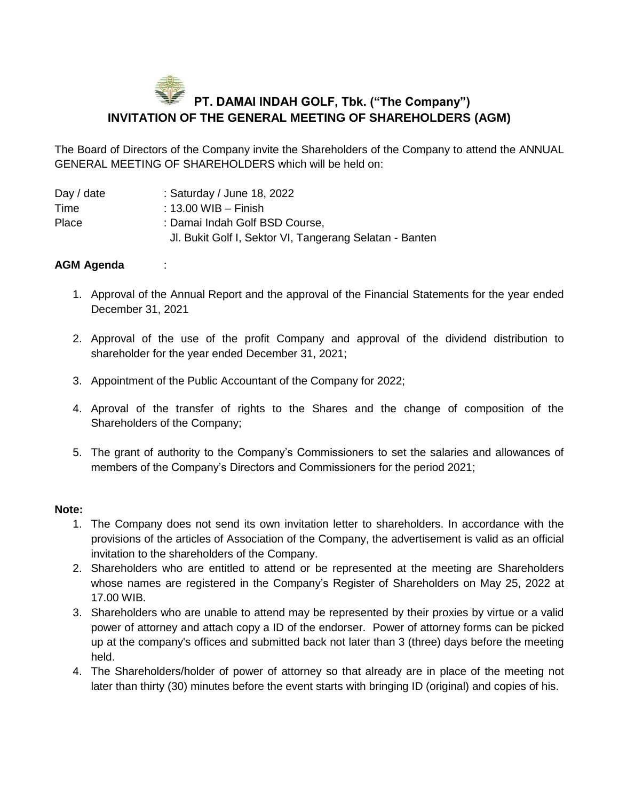## **PT. DAMAI INDAH GOLF, Tbk. ("The Company") INVITATION OF THE GENERAL MEETING OF SHAREHOLDERS (AGM)**

The Board of Directors of the Company invite the Shareholders of the Company to attend the ANNUAL GENERAL MEETING OF SHAREHOLDERS which will be held on:

| Day / date | : Saturday / June 18, 2022                              |
|------------|---------------------------------------------------------|
| Time       | $\pm$ 13.00 WIB – Finish                                |
| Place      | : Damai Indah Golf BSD Course,                          |
|            | Jl. Bukit Golf I, Sektor VI, Tangerang Selatan - Banten |

## **AGM Agenda** :

- 1. Approval of the Annual Report and the approval of the Financial Statements for the year ended December 31, 2021
- 2. Approval of the use of the profit Company and approval of the dividend distribution to shareholder for the year ended December 31, 2021;
- 3. Appointment of the Public Accountant of the Company for 2022;
- 4. Aproval of the transfer of rights to the Shares and the change of composition of the Shareholders of the Company;
- 5. The grant of authority to the Company's Commissioners to set the salaries and allowances of members of the Company's Directors and Commissioners for the period 2021;

## **Note:**

- 1. The Company does not send its own invitation letter to shareholders. In accordance with the provisions of the articles of Association of the Company, the advertisement is valid as an official invitation to the shareholders of the Company.
- 2. Shareholders who are entitled to attend or be represented at the meeting are Shareholders whose names are registered in the Company's Register of Shareholders on May 25, 2022 at 17.00 WIB.
- 3. Shareholders who are unable to attend may be represented by their proxies by virtue or a valid power of attorney and attach copy a ID of the endorser. Power of attorney forms can be picked up at the company's offices and submitted back not later than 3 (three) days before the meeting held.
- 4. The Shareholders/holder of power of attorney so that already are in place of the meeting not later than thirty (30) minutes before the event starts with bringing ID (original) and copies of his.